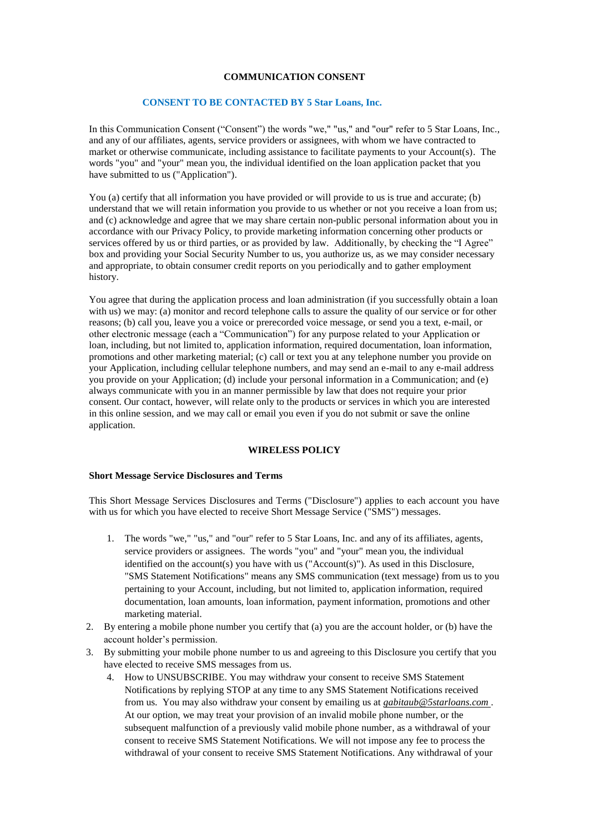## **COMMUNICATION CONSENT**

## **CONSENT TO BE CONTACTED BY 5 Star Loans, Inc.**

In this Communication Consent ("Consent") the words "we," "us," and "our" refer to 5 Star Loans, Inc., and any of our affiliates, agents, service providers or assignees, with whom we have contracted to market or otherwise communicate, including assistance to facilitate payments to your Account(s). The words "you" and "your" mean you, the individual identified on the loan application packet that you have submitted to us ("Application").

You (a) certify that all information you have provided or will provide to us is true and accurate; (b) understand that we will retain information you provide to us whether or not you receive a loan from us; and (c) acknowledge and agree that we may share certain non-public personal information about you in accordance with our Privacy Policy, to provide marketing information concerning other products or services offered by us or third parties, or as provided by law. Additionally, by checking the "I Agree" box and providing your Social Security Number to us, you authorize us, as we may consider necessary and appropriate, to obtain consumer credit reports on you periodically and to gather employment history.

You agree that during the application process and loan administration (if you successfully obtain a loan with us) we may: (a) monitor and record telephone calls to assure the quality of our service or for other reasons; (b) call you, leave you a voice or prerecorded voice message, or send you a text, e-mail, or other electronic message (each a "Communication") for any purpose related to your Application or loan, including, but not limited to, application information, required documentation, loan information, promotions and other marketing material; (c) call or text you at any telephone number you provide on your Application, including cellular telephone numbers, and may send an e-mail to any e-mail address you provide on your Application; (d) include your personal information in a Communication; and (e) always communicate with you in an manner permissible by law that does not require your prior consent. Our contact, however, will relate only to the products or services in which you are interested in this online session, and we may call or email you even if you do not submit or save the online application.

## **WIRELESS POLICY**

## **Short Message Service Disclosures and Terms**

This Short Message Services Disclosures and Terms ("Disclosure") applies to each account you have with us for which you have elected to receive Short Message Service ("SMS") messages.

- 1. The words "we," "us," and "our" refer to 5 Star Loans, Inc. and any of its affiliates, agents, service providers or assignees. The words "you" and "your" mean you, the individual identified on the account(s) you have with us ("Account(s)"). As used in this Disclosure, "SMS Statement Notifications" means any SMS communication (text message) from us to you pertaining to your Account, including, but not limited to, application information, required documentation, loan amounts, loan information, payment information, promotions and other marketing material.
- 2. By entering a mobile phone number you certify that (a) you are the account holder, or (b) have the account holder's permission.
- 3. By submitting your mobile phone number to us and agreeing to this Disclosure you certify that you have elected to receive SMS messages from us.
	- 4. How to UNSUBSCRIBE. You may withdraw your consent to receive SMS Statement Notifications by replying STOP at any time to any SMS Statement Notifications received from us. You may also withdraw your consent by emailing us at *gabitaub@5starloans.com* . At our option, we may treat your provision of an invalid mobile phone number, or the subsequent malfunction of a previously valid mobile phone number, as a withdrawal of your consent to receive SMS Statement Notifications. We will not impose any fee to process the withdrawal of your consent to receive SMS Statement Notifications. Any withdrawal of your